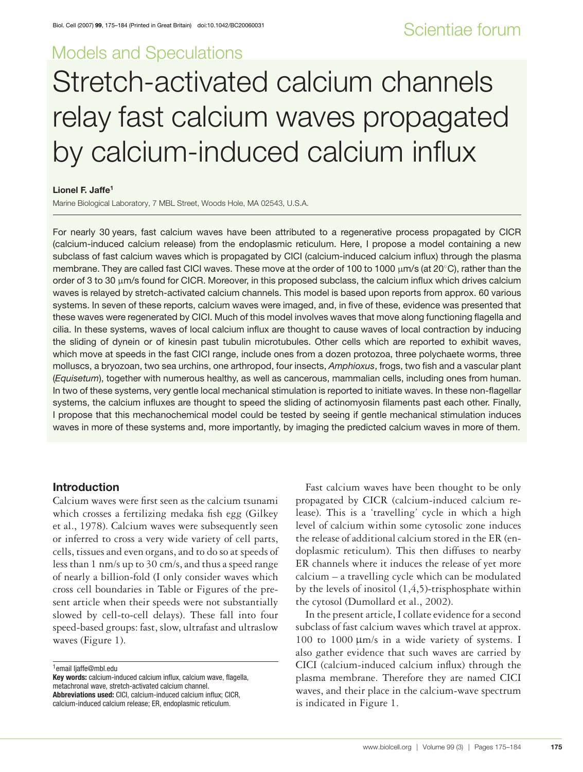# Models and Speculations Stretch-activated calcium channels relay fast calcium waves propagated by calcium-induced calcium influx

### **Lionel F. Jaffe1**

Marine Biological Laboratory, 7 MBL Street, Woods Hole, MA 02543, U.S.A.

For nearly 30 years, fast calcium waves have been attributed to a regenerative process propagated by CICR (calcium-induced calcium release) from the endoplasmic reticulum. Here, I propose a model containing a new subclass of fast calcium waves which is propagated by CICI (calcium-induced calcium influx) through the plasma membrane. They are called fast CICI waves. These move at the order of 100 to 1000  $\mu$ m/s (at 20 $^{\circ}$ C), rather than the order of 3 to 30  $\mu$ m/s found for CICR. Moreover, in this proposed subclass, the calcium influx which drives calcium waves is relayed by stretch-activated calcium channels. This model is based upon reports from approx. 60 various systems. In seven of these reports, calcium waves were imaged, and, in five of these, evidence was presented that these waves were regenerated by CICI. Much of this model involves waves that move along functioning flagella and cilia. In these systems, waves of local calcium influx are thought to cause waves of local contraction by inducing the sliding of dynein or of kinesin past tubulin microtubules. Other cells which are reported to exhibit waves, which move at speeds in the fast CICI range, include ones from a dozen protozoa, three polychaete worms, three molluscs, a bryozoan, two sea urchins, one arthropod, four insects, *Amphioxus*, frogs, two fish and a vascular plant (*Equisetum*), together with numerous healthy, as well as cancerous, mammalian cells, including ones from human. In two of these systems, very gentle local mechanical stimulation is reported to initiate waves. In these non-flagellar systems, the calcium influxes are thought to speed the sliding of actinomyosin filaments past each other. Finally, I propose that this mechanochemical model could be tested by seeing if gentle mechanical stimulation induces waves in more of these systems and, more importantly, by imaging the predicted calcium waves in more of them.

## **Introduction**

Calcium waves were first seen as the calcium tsunami which crosses a fertilizing medaka fish egg (Gilkey et al., 1978). Calcium waves were subsequently seen or inferred to cross a very wide variety of cell parts, cells, tissues and even organs, and to do so at speeds of less than 1 nm/s up to 30 cm/s, and thus a speed range of nearly a billion-fold (I only consider waves which cross cell boundaries in Table or Figures of the present article when their speeds were not substantially slowed by cell-to-cell delays). These fall into four speed-based groups: fast, slow, ultrafast and ultraslow waves (Figure 1).

1email ljaffe@mbl.edu

**Key words:** calcium-induced calcium influx, calcium wave, flagella, metachronal wave, stretch-activated calcium channel. **Abbreviations used:** CICI, calcium-induced calcium influx; CICR, calcium-induced calcium release; ER, endoplasmic reticulum.

Fast calcium waves have been thought to be only propagated by CICR (calcium-induced calcium release). This is a 'travelling' cycle in which a high level of calcium within some cytosolic zone induces the release of additional calcium stored in the ER (endoplasmic reticulum). This then diffuses to nearby ER channels where it induces the release of yet more calcium – a travelling cycle which can be modulated by the levels of inositol  $(1,4,5)$ -trisphosphate within the cytosol (Dumollard et al., 2002).

In the present article, I collate evidence for a second subclass of fast calcium waves which travel at approx. 100 to 1000  $\mu$ m/s in a wide variety of systems. I also gather evidence that such waves are carried by CICI (calcium-induced calcium influx) through the plasma membrane. Therefore they are named CICI waves, and their place in the calcium-wave spectrum is indicated in Figure 1.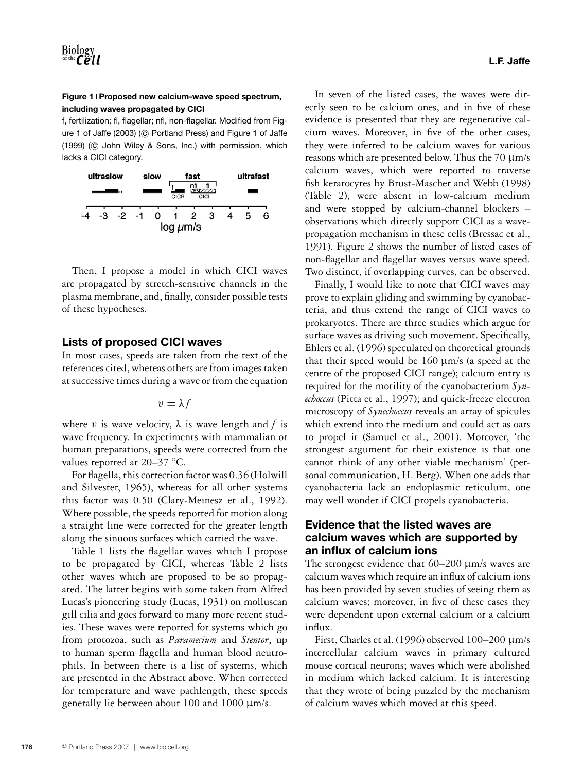## **Figure 1 Proposed new calcium-wave speed spectrum, including waves propagated by CICI**

f, fertilization; fl, flagellar; nfl, non-flagellar. Modified from Figure 1 of Jaffe (2003) (C Portland Press) and Figure 1 of Jaffe (1999) (C John Wiley & Sons, Inc.) with permission, which lacks a CICI category.



Then, I propose a model in which CICI waves are propagated by stretch-sensitive channels in the plasma membrane, and, finally, consider possible tests of these hypotheses.

## **Lists of proposed CICI waves**

In most cases, speeds are taken from the text of the references cited, whereas others are from images taken at successive times during a wave or from the equation

$$
v=\lambda f
$$

where v is wave velocity,  $\lambda$  is wave length and f is wave frequency. In experiments with mammalian or human preparations, speeds were corrected from the values reported at  $20-37$  °C.

For flagella, this correction factor was 0.36 (Holwill and Silvester, 1965), whereas for all other systems this factor was 0.50 (Clary-Meinesz et al., 1992). Where possible, the speeds reported for motion along a straight line were corrected for the greater length along the sinuous surfaces which carried the wave.

Table 1 lists the flagellar waves which I propose to be propagated by CICI, whereas Table 2 lists other waves which are proposed to be so propagated. The latter begins with some taken from Alfred Lucas's pioneering study (Lucas, 1931) on molluscan gill cilia and goes forward to many more recent studies. These waves were reported for systems which go from protozoa, such as *Paramecium* and *Stentor*, up to human sperm flagella and human blood neutrophils. In between there is a list of systems, which are presented in the Abstract above. When corrected for temperature and wave pathlength, these speeds generally lie between about 100 and 1000  $\mu$ m/s.

In seven of the listed cases, the waves were directly seen to be calcium ones, and in five of these evidence is presented that they are regenerative calcium waves. Moreover, in five of the other cases, they were inferred to be calcium waves for various reasons which are presented below. Thus the 70  $\mu$ m/s calcium waves, which were reported to traverse fish keratocytes by Brust-Mascher and Webb (1998) (Table 2), were absent in low-calcium medium and were stopped by calcium-channel blockers – observations which directly support CICI as a wavepropagation mechanism in these cells (Bressac et al., 1991). Figure 2 shows the number of listed cases of non-flagellar and flagellar waves versus wave speed. Two distinct, if overlapping curves, can be observed.

Finally, I would like to note that CICI waves may prove to explain gliding and swimming by cyanobacteria, and thus extend the range of CICI waves to prokaryotes. There are three studies which argue for surface waves as driving such movement. Specifically, Ehlers et al. (1996) speculated on theoretical grounds that their speed would be  $160 \mu m/s$  (a speed at the centre of the proposed CICI range); calcium entry is required for the motility of the cyanobacterium *Synechoccus* (Pitta et al., 1997); and quick-freeze electron microscopy of *Synechoccus* reveals an array of spicules which extend into the medium and could act as oars to propel it (Samuel et al., 2001). Moreover, 'the strongest argument for their existence is that one cannot think of any other viable mechanism' (personal communication, H. Berg). When one adds that cyanobacteria lack an endoplasmic reticulum, one may well wonder if CICI propels cyanobacteria.

## **Evidence that the listed waves are calcium waves which are supported by an influx of calcium ions**

The strongest evidence that  $60-200$   $\mu$ m/s waves are calcium waves which require an influx of calcium ions has been provided by seven studies of seeing them as calcium waves; moreover, in five of these cases they were dependent upon external calcium or a calcium influx.

First, Charles et al. (1996) observed 100–200 µm/s intercellular calcium waves in primary cultured mouse cortical neurons; waves which were abolished in medium which lacked calcium. It is interesting that they wrote of being puzzled by the mechanism of calcium waves which moved at this speed.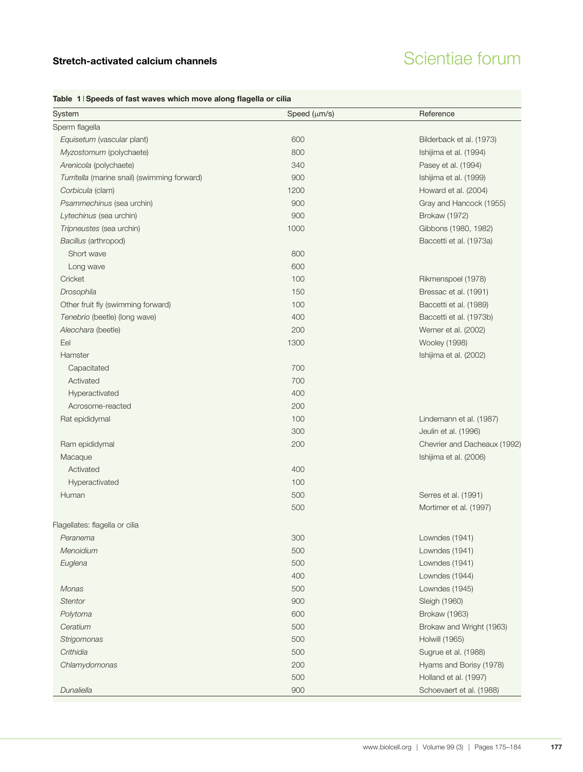## **Stretch-activated calcium channels** Scientiae forum

| Table 1   Speeds of fast waves which move along flagella or cilia |  |
|-------------------------------------------------------------------|--|
|-------------------------------------------------------------------|--|

| System                                       | Speed $(\mu m/s)$ | Reference                    |
|----------------------------------------------|-------------------|------------------------------|
| Sperm flagella                               |                   |                              |
| Equisetum (vascular plant)                   | 600               | Bilderback et al. (1973)     |
| Myzostomum (polychaete)                      | 800               | Ishijima et al. (1994)       |
| Arenicola (polychaete)                       | 340               | Pasey et al. (1994)          |
| Turritella (marine snail) (swimming forward) | 900               | Ishijima et al. (1999)       |
| Corbicula (clam)                             | 1200              | Howard et al. (2004)         |
| Psammechinus (sea urchin)                    | 900               | Gray and Hancock (1955)      |
| Lytechinus (sea urchin)                      | 900               | <b>Brokaw</b> (1972)         |
| Tripneustes (sea urchin)                     | 1000              | Gibbons (1980, 1982)         |
| Bacillus (arthropod)                         |                   | Baccetti et al. (1973a)      |
| Short wave                                   | 800               |                              |
| Long wave                                    | 600               |                              |
| Cricket                                      | 100               | Rikmenspoel (1978)           |
| Drosophila                                   | 150               | Bressac et al. (1991)        |
| Other fruit fly (swimming forward)           | 100               | Baccetti et al. (1989)       |
| Tenebrio (beetle) (long wave)                | 400               | Baccetti et al. (1973b)      |
| Aleochara (beetle)                           | 200               | Werner et al. (2002)         |
| Eel                                          | 1300              | <b>Wooley (1998)</b>         |
| Hamster                                      |                   | Ishijima et al. (2002)       |
| Capacitated                                  | 700               |                              |
| Activated                                    | 700               |                              |
| Hyperactivated                               | 400               |                              |
| Acrosome-reacted                             | 200               |                              |
| Rat epididymal                               | 100               | Lindemann et al. (1987)      |
|                                              | 300               | Jeulin et al. (1996)         |
| Ram epididymal                               | 200               | Chevrier and Dacheaux (1992) |
| Macaque                                      |                   | Ishijima et al. (2006)       |
| Activated                                    | 400               |                              |
| Hyperactivated                               | 100               |                              |
| Human                                        | 500               | Serres et al. (1991)         |
|                                              | 500               | Mortimer et al. (1997)       |
| Flagellates: flagella or cilia               |                   |                              |
| Peranema                                     | 300               | Lowndes (1941)               |
| Menoidium                                    | 500               | Lowndes (1941)               |
| Euglena                                      | 500               | Lowndes (1941)               |
|                                              | 400               | Lowndes (1944)               |
| Monas                                        | 500               | Lowndes (1945)               |
| <b>Stentor</b>                               | 900               | Sleigh (1960)                |
| Polytoma                                     | 600               | <b>Brokaw</b> (1963)         |
| Ceratium                                     | 500               | Brokaw and Wright (1963)     |
| Strigomonas                                  | 500               | <b>Holwill (1965)</b>        |
| Crithidia                                    | 500               | Sugrue et al. (1988)         |
| Chlamydomonas                                | 200               | Hyams and Borisy (1978)      |
|                                              | 500               | Holland et al. (1997)        |
| Dunaliella                                   | 900               | Schoevaert et al. (1988)     |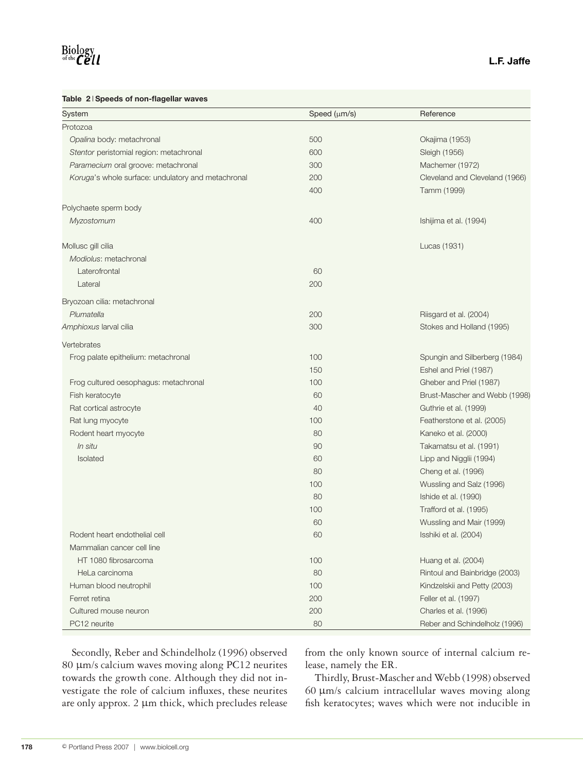# $\overset{\text{Biology}}{\text{of the}} \overset{\text{Cell}}{\text{Cell}}$

**Table 2 Speeds of non-flagellar waves**

| System                                             | Speed $(\mu m/s)$ | Reference                      |
|----------------------------------------------------|-------------------|--------------------------------|
| Protozoa                                           |                   |                                |
| Opalina body: metachronal                          | 500               | Okajima (1953)                 |
| Stentor peristomial region: metachronal            | 600               | Sleigh (1956)                  |
| Paramecium oral groove: metachronal                | 300               | Machemer (1972)                |
| Koruga's whole surface: undulatory and metachronal | 200               | Cleveland and Cleveland (1966) |
|                                                    | 400               | Tamm (1999)                    |
| Polychaete sperm body                              |                   |                                |
| Myzostomum                                         | 400               | Ishijima et al. (1994)         |
|                                                    |                   |                                |
| Mollusc gill cilia                                 |                   | Lucas (1931)                   |
| Modiolus: metachronal                              |                   |                                |
| Laterofrontal                                      | 60                |                                |
| Lateral                                            | 200               |                                |
| Bryozoan cilia: metachronal                        |                   |                                |
| Plumatella                                         | 200               | Riisgard et al. (2004)         |
| Amphioxus larval cilia                             | 300               | Stokes and Holland (1995)      |
|                                                    |                   |                                |
| Vertebrates                                        |                   |                                |
| Frog palate epithelium: metachronal                | 100               | Spungin and Silberberg (1984)  |
|                                                    | 150               | Eshel and Priel (1987)         |
| Frog cultured oesophagus: metachronal              | 100               | Gheber and Priel (1987)        |
| Fish keratocyte                                    | 60                | Brust-Mascher and Webb (1998)  |
| Rat cortical astrocyte                             | 40                | Guthrie et al. (1999)          |
| Rat lung myocyte                                   | 100               | Featherstone et al. (2005)     |
| Rodent heart myocyte                               | 80                | Kaneko et al. (2000)           |
| In situ                                            | 90                | Takamatsu et al. (1991)        |
| Isolated                                           | 60                | Lipp and Nigglii (1994)        |
|                                                    | 80                | Cheng et al. (1996)            |
|                                                    | 100               | Wussling and Salz (1996)       |
|                                                    | 80                | Ishide et al. (1990)           |
|                                                    | 100               | Trafford et al. (1995)         |
|                                                    | 60                | Wussling and Mair (1999)       |
| Rodent heart endothelial cell                      | 60                | Isshiki et al. (2004)          |
| Mammalian cancer cell line                         |                   |                                |
| HT 1080 fibrosarcoma                               | 100               | Huang et al. (2004)            |
| HeLa carcinoma                                     | 80                | Rintoul and Bainbridge (2003)  |
| Human blood neutrophil                             | 100               | Kindzelskii and Petty (2003)   |
| Ferret retina                                      | 200               | Feller et al. (1997)           |
| Cultured mouse neuron                              | 200               | Charles et al. (1996)          |
| PC12 neurite                                       | 80                | Reber and Schindelholz (1996)  |

Secondly, Reber and Schindelholz (1996) observed 80 µm/s calcium waves moving along PC12 neurites towards the growth cone. Although they did not investigate the role of calcium influxes, these neurites are only approx. 2 µm thick, which precludes release from the only known source of internal calcium release, namely the ER.

Thirdly, Brust-Mascher and Webb (1998) observed 60 µm/s calcium intracellular waves moving along fish keratocytes; waves which were not inducible in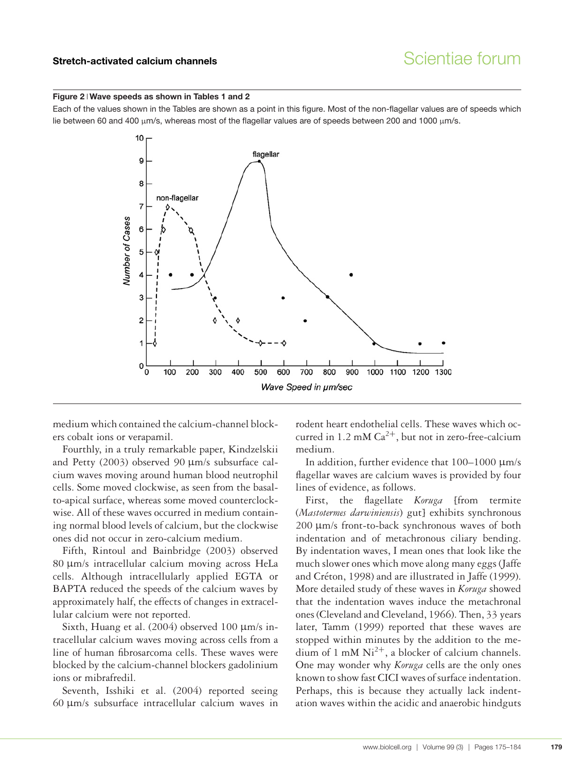### **Figure 2 Wave speeds as shown in Tables 1 and 2**

Each of the values shown in the Tables are shown as a point in this figure. Most of the non-flagellar values are of speeds which lie between 60 and 400  $\mu$ m/s, whereas most of the flagellar values are of speeds between 200 and 1000  $\mu$ m/s.



medium which contained the calcium-channel blockers cobalt ions or verapamil.

Fourthly, in a truly remarkable paper, Kindzelskii and Petty (2003) observed 90  $\mu$ m/s subsurface calcium waves moving around human blood neutrophil cells. Some moved clockwise, as seen from the basalto-apical surface, whereas some moved counterclockwise. All of these waves occurred in medium containing normal blood levels of calcium, but the clockwise ones did not occur in zero-calcium medium.

Fifth, Rintoul and Bainbridge (2003) observed 80 µm/s intracellular calcium moving across HeLa cells. Although intracellularly applied EGTA or BAPTA reduced the speeds of the calcium waves by approximately half, the effects of changes in extracellular calcium were not reported.

Sixth, Huang et al. (2004) observed 100 µm/s intracellular calcium waves moving across cells from a line of human fibrosarcoma cells. These waves were blocked by the calcium-channel blockers gadolinium ions or mibrafredil.

Seventh, Isshiki et al. (2004) reported seeing 60 µm/s subsurface intracellular calcium waves in rodent heart endothelial cells. These waves which occurred in 1.2 mM  $Ca^{2+}$ , but not in zero-free-calcium medium.

In addition, further evidence that  $100-1000 \ \mu m/s$ flagellar waves are calcium waves is provided by four lines of evidence, as follows.

First, the flagellate *Koruga* [from termite (*Mastotermes darwiniensis*) gut] exhibits synchronous 200 µm/s front-to-back synchronous waves of both indentation and of metachronous ciliary bending. By indentation waves, I mean ones that look like the much slower ones which move along many eggs (Jaffe and Créton, 1998) and are illustrated in Jaffe (1999). More detailed study of these waves in *Koruga* showed that the indentation waves induce the metachronal ones (Cleveland and Cleveland, 1966). Then, 33 years later, Tamm (1999) reported that these waves are stopped within minutes by the addition to the medium of 1 mM  $Ni^{2+}$ , a blocker of calcium channels. One may wonder why *Koruga* cells are the only ones known to show fast CICI waves of surface indentation. Perhaps, this is because they actually lack indentation waves within the acidic and anaerobic hindguts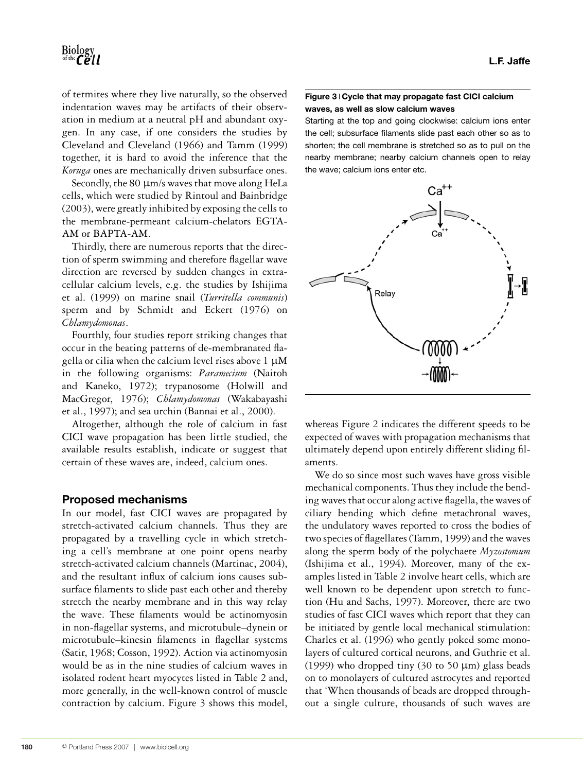of termites where they live naturally, so the observed indentation waves may be artifacts of their observation in medium at a neutral pH and abundant oxygen. In any case, if one considers the studies by Cleveland and Cleveland (1966) and Tamm (1999) together, it is hard to avoid the inference that the *Koruga* ones are mechanically driven subsurface ones.

Secondly, the 80  $\mu$ m/s waves that move along HeLa cells, which were studied by Rintoul and Bainbridge (2003), were greatly inhibited by exposing the cells to the membrane-permeant calcium-chelators EGTA-AM or BAPTA-AM.

Thirdly, there are numerous reports that the direction of sperm swimming and therefore flagellar wave direction are reversed by sudden changes in extracellular calcium levels, e.g. the studies by Ishijima et al. (1999) on marine snail (*Turritella communis*) sperm and by Schmidt and Eckert (1976) on *Chlamydomonas*.

Fourthly, four studies report striking changes that occur in the beating patterns of de-membranated flagella or cilia when the calcium level rises above  $1 \mu M$ in the following organisms: *Paramecium* (Naitoh and Kaneko, 1972); trypanosome (Holwill and MacGregor, 1976); *Chlamydomonas* (Wakabayashi et al., 1997); and sea urchin (Bannai et al., 2000).

Altogether, although the role of calcium in fast CICI wave propagation has been little studied, the available results establish, indicate or suggest that certain of these waves are, indeed, calcium ones.

## **Proposed mechanisms**

In our model, fast CICI waves are propagated by stretch-activated calcium channels. Thus they are propagated by a travelling cycle in which stretching a cell's membrane at one point opens nearby stretch-activated calcium channels (Martinac, 2004), and the resultant influx of calcium ions causes subsurface filaments to slide past each other and thereby stretch the nearby membrane and in this way relay the wave. These filaments would be actinomyosin in non-flagellar systems, and microtubule–dynein or microtubule–kinesin filaments in flagellar systems (Satir, 1968; Cosson, 1992). Action via actinomyosin would be as in the nine studies of calcium waves in isolated rodent heart myocytes listed in Table 2 and, more generally, in the well-known control of muscle contraction by calcium. Figure 3 shows this model,

### **Figure 3 Cycle that may propagate fast CICI calcium waves, as well as slow calcium waves**

Starting at the top and going clockwise: calcium ions enter the cell; subsurface filaments slide past each other so as to shorten; the cell membrane is stretched so as to pull on the nearby membrane; nearby calcium channels open to relay the wave; calcium ions enter etc.



whereas Figure 2 indicates the different speeds to be expected of waves with propagation mechanisms that ultimately depend upon entirely different sliding filaments.

We do so since most such waves have gross visible mechanical components. Thus they include the bending waves that occur along active flagella, the waves of ciliary bending which define metachronal waves, the undulatory waves reported to cross the bodies of two species of flagellates (Tamm, 1999) and the waves along the sperm body of the polychaete *Myzostomum* (Ishijima et al., 1994). Moreover, many of the examples listed in Table 2 involve heart cells, which are well known to be dependent upon stretch to function (Hu and Sachs, 1997). Moreover, there are two studies of fast CICI waves which report that they can be initiated by gentle local mechanical stimulation: Charles et al. (1996) who gently poked some monolayers of cultured cortical neurons, and Guthrie et al. (1999) who dropped tiny (30 to 50  $\mu$ m) glass beads on to monolayers of cultured astrocytes and reported that 'When thousands of beads are dropped throughout a single culture, thousands of such waves are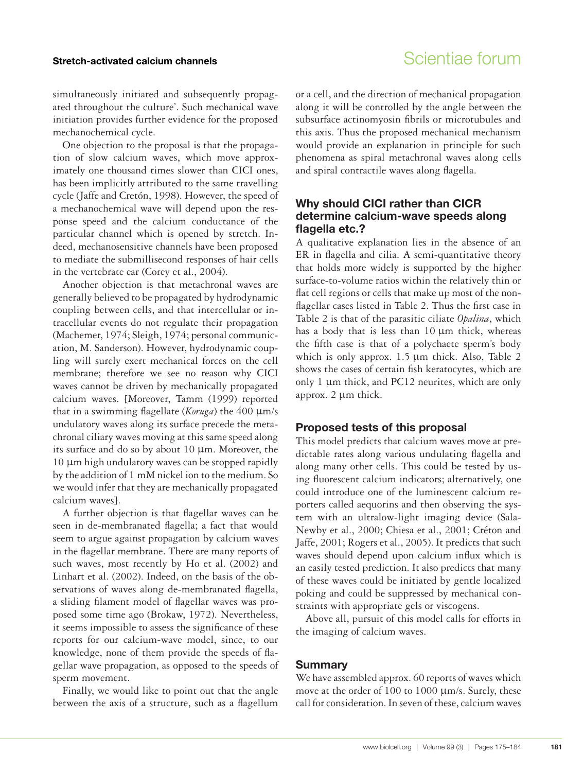## **Stretch-activated calcium channels** Stretch-activated calcium channels

simultaneously initiated and subsequently propagated throughout the culture'. Such mechanical wave initiation provides further evidence for the proposed mechanochemical cycle.

One objection to the proposal is that the propagation of slow calcium waves, which move approximately one thousand times slower than CICI ones, has been implicitly attributed to the same travelling cycle (Jaffe and Cretón, 1998). However, the speed of a mechanochemical wave will depend upon the response speed and the calcium conductance of the particular channel which is opened by stretch. Indeed, mechanosensitive channels have been proposed to mediate the submillisecond responses of hair cells in the vertebrate ear (Corey et al., 2004).

Another objection is that metachronal waves are generally believed to be propagated by hydrodynamic coupling between cells, and that intercellular or intracellular events do not regulate their propagation (Machemer, 1974; Sleigh, 1974; personal communication, M. Sanderson). However, hydrodynamic coupling will surely exert mechanical forces on the cell membrane; therefore we see no reason why CICI waves cannot be driven by mechanically propagated calcium waves. [Moreover, Tamm (1999) reported that in a swimming flagellate (*Koruga*) the 400 µm/s undulatory waves along its surface precede the metachronal ciliary waves moving at this same speed along its surface and do so by about 10 µm. Moreover, the  $10 \mu m$  high undulatory waves can be stopped rapidly by the addition of 1 mM nickel ion to the medium. So we would infer that they are mechanically propagated calcium waves].

A further objection is that flagellar waves can be seen in de-membranated flagella; a fact that would seem to argue against propagation by calcium waves in the flagellar membrane. There are many reports of such waves, most recently by Ho et al. (2002) and Linhart et al. (2002). Indeed, on the basis of the observations of waves along de-membranated flagella, a sliding filament model of flagellar waves was proposed some time ago (Brokaw, 1972). Nevertheless, it seems impossible to assess the significance of these reports for our calcium-wave model, since, to our knowledge, none of them provide the speeds of flagellar wave propagation, as opposed to the speeds of sperm movement.

Finally, we would like to point out that the angle between the axis of a structure, such as a flagellum

or a cell, and the direction of mechanical propagation along it will be controlled by the angle between the subsurface actinomyosin fibrils or microtubules and this axis. Thus the proposed mechanical mechanism would provide an explanation in principle for such phenomena as spiral metachronal waves along cells and spiral contractile waves along flagella.

## **Why should CICI rather than CICR determine calcium-wave speeds along flagella etc.?**

A qualitative explanation lies in the absence of an ER in flagella and cilia. A semi-quantitative theory that holds more widely is supported by the higher surface-to-volume ratios within the relatively thin or flat cell regions or cells that make up most of the nonflagellar cases listed in Table 2. Thus the first case in Table 2 is that of the parasitic ciliate *Opalina*, which has a body that is less than  $10 \mu m$  thick, whereas the fifth case is that of a polychaete sperm's body which is only approx. 1.5  $\mu$ m thick. Also, Table 2 shows the cases of certain fish keratocytes, which are only 1 µm thick, and PC12 neurites, which are only approx. 2 µm thick.

## **Proposed tests of this proposal**

This model predicts that calcium waves move at predictable rates along various undulating flagella and along many other cells. This could be tested by using fluorescent calcium indicators; alternatively, one could introduce one of the luminescent calcium reporters called aequorins and then observing the system with an ultralow-light imaging device (Sala-Newby et al., 2000; Chiesa et al., 2001; Créton and Jaffe, 2001; Rogers et al., 2005). It predicts that such waves should depend upon calcium influx which is an easily tested prediction. It also predicts that many of these waves could be initiated by gentle localized poking and could be suppressed by mechanical constraints with appropriate gels or viscogens.

Above all, pursuit of this model calls for efforts in the imaging of calcium waves.

## **Summary**

We have assembled approx. 60 reports of waves which move at the order of 100 to 1000 µm/s. Surely, these call for consideration. In seven of these, calcium waves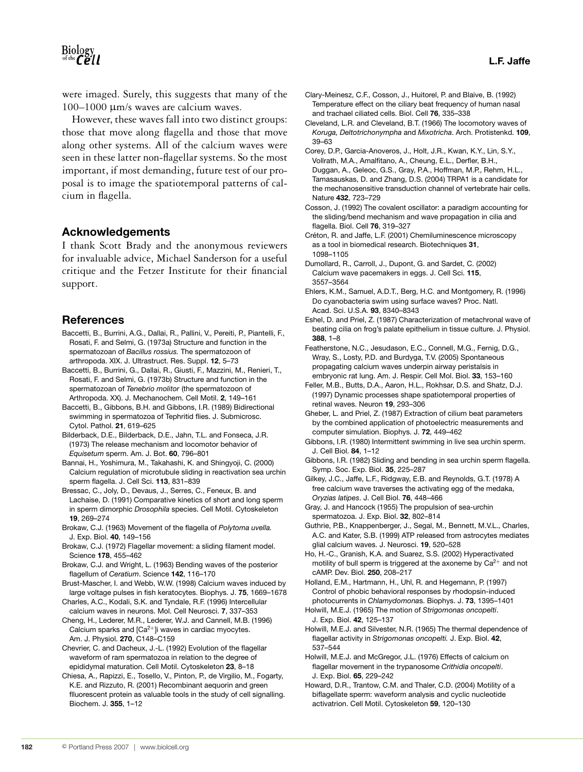were imaged. Surely, this suggests that many of the 100–1000 µm/s waves are calcium waves.

However, these waves fall into two distinct groups: those that move along flagella and those that move along other systems. All of the calcium waves were seen in these latter non-flagellar systems. So the most important, if most demanding, future test of our proposal is to image the spatiotemporal patterns of calcium in flagella.

## **Acknowledgements**

I thank Scott Brady and the anonymous reviewers for invaluable advice, Michael Sanderson for a useful critique and the Fetzer Institute for their financial support.

## **References**

- Baccetti, B., Burrini, A.G., Dallai, R., Pallini, V., Pereiti, P., Piantelli, F., Rosati, F. and Selmi, G. (1973a) Structure and function in the spermatozoan of *Bacillus rossius.* The spermatozoon of arthropoda. XIX. J. Ultrastruct. Res. Suppl. **12**, 5–73
- Baccetti, B., Burrini, G., Dallai, R., Giusti, F., Mazzini, M., Renieri, T., Rosati, F. and Selmi, G. (1973b) Structure and function in the spermatozoan of *Tenebrio molitor* (the spermatozoon of Arthropoda. XX). J. Mechanochem. Cell Motil. **2**, 149–161
- Baccetti, B., Gibbons, B.H. and Gibbons, I.R. (1989) Bidirectional swimming in spermatozoa of Tephritid flies. J. Submicrosc. Cytol. Pathol. **21**, 619–625
- Bilderback, D.E., Bilderback, D.E., Jahn, T.L. and Fonseca, J.R. (1973) The release mechanism and locomotor behavior of *Equisetum* sperm. Am. J. Bot. **60**, 796–801
- Bannai, H., Yoshimura, M., Takahashi, K. and Shingyoji, C. (2000) Calcium regulation of microtubule sliding in reactivation sea urchin sperm flagella. J. Cell Sci. **113**, 831–839
- Bressac, C., Joly, D., Devaus, J., Serres, C., Feneux, B. and Lachaise, D. (1991) Comparative kinetics of short and long sperm in sperm dimorphic *Drosophila* species. Cell Motil. Cytoskeleton **19**, 269–274
- Brokaw, C.J. (1963) Movement of the flagella of *Polytoma uvella.* J. Exp. Biol. **40**, 149–156
- Brokaw, C.J. (1972) Flagellar movement: a sliding filament model. Science **178**, 455–462
- Brokaw, C.J. and Wright, L. (1963) Bending waves of the posterior flagellum of *Ceratium*. Science **142**, 116–170
- Brust-Mascher, I. and Webb, W.W. (1998) Calcium waves induced by large voltage pulses in fish keratocytes. Biophys. J. **75**, 1669–1678
- Charles, A.C., Kodali, S.K. and Tyndale, R.F. (1996) Intercellular calcium waves in neurons. Mol. Cell Neurosci. **7**, 337–353
- Cheng, H., Lederer, M.R., Lederer, W.J. and Cannell, M.B. (1996) Calcium sparks and  $[Ca<sup>2+</sup>]$  waves in cardiac myocytes. Am. J. Physiol. **270**, C148–C159
- Chevrier, C. and Dacheux, J.-L. (1992) Evolution of the flagellar waveform of ram spermatozoa in relation to the degree of epididymal maturation. Cell Motil. Cytoskeleton **23**, 8–18
- Chiesa, A., Rapizzi, E., Tosello, V., Pinton, P., de Virgilio, M., Fogarty, K.E. and Rizzuto, R. (2001) Recombinant aequorin and green flluorescent protein as valuable tools in the study of cell signalling. Biochem. J. **355**, 1–12
- Clary-Meinesz, C.F., Cosson, J., Huitorel, P. and Blaive, B. (1992) Temperature effect on the ciliary beat frequency of human nasal and trachael ciliated cells. Biol. Cell **76**, 335–338
- Cleveland, L.R. and Cleveland, B.T. (1966) The locomotory waves of *Koruga, Deltotrichonympha* and *Mixotricha*. Arch. Protistenkd. **109**, 39–63
- Corey, D.P., Garcia-Anoveros, J., Holt, J.R., Kwan, K.Y., Lin, S.Y., Vollrath, M.A., Amalfitano, A., Cheung, E.L., Derfler, B.H., Duggan, A., Geleoc, G.S., Gray, P.A., Hoffman, M.P., Rehm, H.L., Tamasauskas, D. and Zhang, D.S. (2004) TRPA1 is a candidate for the mechanosensitive transduction channel of vertebrate hair cells. Nature **432**, 723–729
- Cosson, J. (1992) The covalent oscillator: a paradigm accounting for the sliding/bend mechanism and wave propagation in cilia and flagella. Biol. Cell **76**, 319–327
- Créton, R. and Jaffe, L.F. (2001) Chemiluminescence microscopy as a tool in biomedical research. Biotechniques **31**, 1098–1105
- Dumollard, R., Carroll, J., Dupont, G. and Sardet, C. (2002) Calcium wave pacemakers in eggs. J. Cell Sci. **115**, 3557–3564
- Ehlers, K.M., Samuel, A.D.T., Berg, H.C. and Montgomery, R. (1996) Do cyanobacteria swim using surface waves? Proc. Natl. Acad. Sci. U.S.A. **93**, 8340–8343
- Eshel, D. and Priel, Z. (1987) Characterization of metachronal wave of beating cilia on frog's palate epithelium in tissue culture. J. Physiol. **388**, 1–8
- Featherstone, N.C., Jesudason, E.C., Connell, M.G., Fernig, D.G., Wray, S., Losty, P.D. and Burdyga, T.V. (2005) Spontaneous propagating calcium waves underpin airway peristalsis in embryonic rat lung. Am. J. Respir. Cell Mol. Biol. **33**, 153–160
- Feller, M.B., Butts, D.A., Aaron, H.L., Rokhsar, D.S. and Shatz, D.J. (1997) Dynamic processes shape spatiotemporal properties of retinal waves. Neuron **19**, 293–306
- Gheber, L. and Priel, Z. (1987) Extraction of cilium beat parameters by the combined application of photoelectric measurements and computer simulation. Biophys. J. **72**, 449–462
- Gibbons, I.R. (1980) Intermittent swimming in live sea urchin sperm. J. Cell Biol. **84**, 1–12
- Gibbons, I.R. (1982) Sliding and bending in sea urchin sperm flagella. Symp. Soc. Exp. Biol. **35**, 225–287
- Gilkey, J.C., Jaffe, L.F., Ridgway, E.B. and Reynolds, G.T. (1978) A free calcium wave traverses the activating egg of the medaka, *Oryzias latipes*. J. Cell Biol. **76**, 448–466
- Gray, J. and Hancock (1955) The propulsion of sea-urchin spermatozoa. J. Exp. Biol. **32**, 802–814
- Guthrie, P.B., Knappenberger, J., Segal, M., Bennett, M.V.L., Charles, A.C. and Kater, S.B. (1999) ATP released from astrocytes mediates glial calcium waves. J. Neurosci. **19**, 520–528
- Ho, H.-C., Granish, K.A. and Suarez, S.S. (2002) Hyperactivated motility of bull sperm is triggered at the axoneme by  $Ca^{2+}$  and not cAMP. Dev. Biol. **250**, 208–217
- Holland, E.M., Hartmann, H., Uhl, R. and Hegemann, P. (1997) Control of phobic behavioral responses by rhodopsin-induced photocurrents in *Chlamydomona*s. Biophys. J. **73**, 1395–1401
- Holwill, M.E.J. (1965) The motion of *Strigomonas oncopelti*. J. Exp. Biol. **42**, 125–137
- Holwill, M.E.J. and Silvester, N.R. (1965) The thermal dependence of flagellar activity in *Strigomonas oncopelti.* J. Exp. Biol. **42**, 537–544
- Holwill, M.E.J. and McGregor, J.L. (1976) Effects of calcium on flagellar movement in the trypanosome *Crithidia oncopelti*. J. Exp. Biol. **65**, 229–242
- Howard, D.R., Trantow, C.M. and Thaler, C.D. (2004) Motility of a biflagellate sperm: waveform analysis and cyclic nucleotide activatrion. Cell Motil. Cytoskeleton **59**, 120–130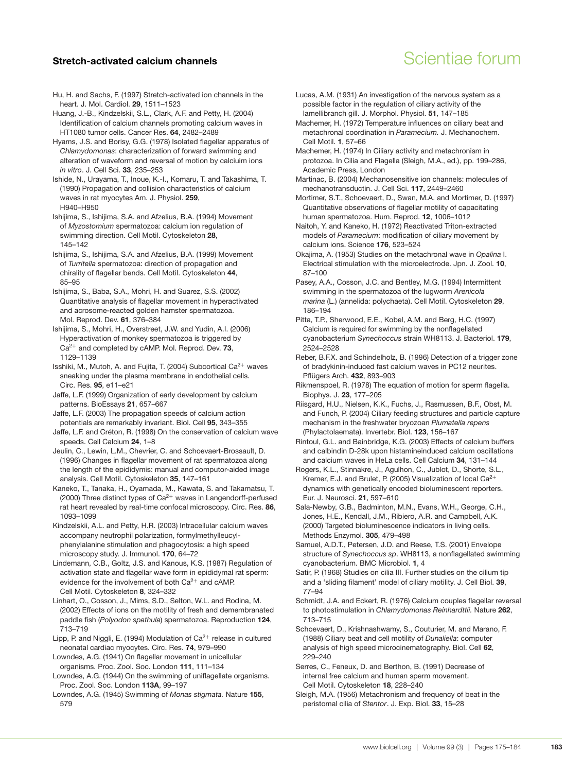## **Stretch-activated calcium channels** Stretch-activated calcium channels

Hu, H. and Sachs, F. (1997) Stretch-activated ion channels in the heart. J. Mol. Cardiol. **29**, 1511–1523

Huang, J.-B., Kindzelskii, S.L., Clark, A.F. and Petty, H. (2004) Identification of calcium channels promoting calcium waves in HT1080 tumor cells. Cancer Res. **64**, 2482–2489

Hyams, J.S. and Borisy, G.G. (1978) Isolated flagellar apparatus of *Chlamydomonas*: characterization of forward swimming and alteration of waveform and reversal of motion by calciuim ions *in vitro*. J. Cell Sci. **33**, 235–253

Ishide, N., Urayama, T., Inoue, K.-I., Komaru, T. and Takashima, T. (1990) Propagation and collision characteristics of calcium waves in rat myocytes Am. J. Physiol. **259**, H940–H950

Ishijima, S., Ishijima, S.A. and Afzelius, B.A. (1994) Movement of *Myzostomium* spermatozoa: calcium ion regulation of swimming direction. Cell Motil. Cytoskeleton **28**, 145–142

Ishijima, S., Ishijima, S.A. and Afzelius, B.A. (1999) Movement of *Turritella* spermatozoa: direction of propagation and chirality of flagellar bends. Cell Motil. Cytoskeleton **44**, 85–95

Ishijima, S., Baba, S.A., Mohri, H. and Suarez, S.S. (2002) Quantitative analysis of flagellar movement in hyperactivated and acrosome-reacted golden hamster spermatozoa. Mol. Reprod. Dev. **61**, 376–384

Ishijima, S., Mohri, H., Overstreet, J.W. and Yudin, A.I. (2006) Hyperactivation of monkey spermatozoa is triggered by Ca<sup>2</sup><sup>+</sup> and completed by cAMP. Mol. Reprod. Dev. **73**, 1129–1139

Isshiki, M., Mutoh, A. and Fujita, T. (2004) Subcortical  $Ca^{2+}$  waves sneaking under the plasma membrane in endothelial cells. Circ. Res. **95**, e11–e21

Jaffe, L.F. (1999) Organization of early development by calcium patterns. BioEssays **21**, 657–667

Jaffe, L.F. (2003) The propagation speeds of calcium action potentials are remarkably invariant. Biol. Cell **95**, 343–355

Jaffe, L.F. and Créton, R. (1998) On the conservation of calcium wave speeds. Cell Calcium **24**, 1–8

Jeulin, C., Lewin, L.M., Chevrier, C. and Schoevaert-Brossault, D. (1996) Changes in flagellar movement of rat spermatozoa along the length of the epididymis: manual and computor-aided image analysis. Cell Motil. Cytoskeleton **35**, 147–161

Kaneko, T., Tanaka, H., Oyamada, M., Kawata, S. and Takamatsu, T. (2000) Three distinct types of  $Ca^{2+}$  waves in Langendorff-perfused rat heart revealed by real-time confocal microscopy. Circ. Res. **86**, 1093–1099

Kindzelskii, A.L. and Petty, H.R. (2003) Intracellular calcium waves accompany neutrophil polarization, formylmethylleucylphenylalanine stimulation and phagocytosis: a high speed microscopy study. J. Immunol. **170**, 64–72

Lindemann, C.B., Goltz, J.S. and Kanous, K.S. (1987) Regulation of activation state and flagellar wave form in epididymal rat sperm: evidence for the involvement of both  $Ca^{2+}$  and cAMP. Cell Motil. Cytoskeleton **8**, 324–332

Linhart, O., Cosson, J., Mims, S.D., Selton, W.L. and Rodina, M. (2002) Effects of ions on the motility of fresh and demembranated paddle fish (*Polyodon spathula*) spermatozoa. Reproduction **124**, 713–719

Lipp, P. and Niggli, E. (1994) Modulation of  $Ca^{2+}$  release in cultured neonatal cardiac myocytes. Circ. Res. **74**, 979–990

Lowndes, A.G. (1941) On flagellar movement in unicellular organisms. Proc. Zool. Soc. London **111**, 111–134

Lowndes, A.G. (1944) On the swimming of uniflagellate organisms. Proc. Zool. Soc. London **113A**, 99–197

Lowndes, A.G. (1945) Swimming of *Monas stigmata.* Nature **155**, 579

Lucas, A.M. (1931) An investigation of the nervous system as a possible factor in the regulation of ciliary activity of the lamellibranch gill. J. Morphol. Physiol. **51**, 147–185

Machemer, H. (1972) Temperature influences on ciliary beat and metachronal coordination in *Paramecium.* J. Mechanochem. Cell Motil. **1**, 57–66

Machemer, H. (1974) In Ciliary activity and metachronism in protozoa. In Cilia and Flagella (Sleigh, M.A., ed.), pp. 199–286, Academic Press, London

Martinac, B. (2004) Mechanosensitive ion channels: molecules of mechanotransductin. J. Cell Sci. **117**, 2449–2460

Mortimer, S.T., Schoevaert, D., Swan, M.A. and Mortimer, D. (1997) Quantitative observations of flagellar motility of capacitating human spermatozoa. Hum. Reprod. **12**, 1006–1012

Naitoh, Y. and Kaneko, H. (1972) Reactivated Triton-extracted models of *Paramecium*: modification of ciliary movement by calcium ions. Science **176**, 523–524

Okajima, A. (1953) Studies on the metachronal wave in *Opalina* I. Electrical stimulation with the microelectrode. Jpn. J. Zool. **10**, 87–100

Pasey, A.A., Cosson, J.C. and Bentley, M.G. (1994) Intermittent swimming in the spermatozoa of the lugworm *Arenicola marina* (L.) (annelida: polychaeta). Cell Motil. Cytoskeleton **29**, 186–194

Pitta, T.P., Sherwood, E.E., Kobel, A.M. and Berg, H.C. (1997) Calcium is required for swimming by the nonflagellated cyanobacterium *Synechoccus* strain WH8113. J. Bacteriol. **179**, 2524–2528

Reber, B.F.X. and Schindelholz, B. (1996) Detection of a trigger zone of bradykinin-induced fast calcium waves in PC12 neurites. Pflugers Arch. ¨ **432**, 893–903

Rikmenspoel, R. (1978) The equation of motion for sperm flagella. Biophys. J. **23**, 177–205

Riisgard, H.U., Nielsen, K.K., Fuchs, J., Rasmussen, B.F., Obst, M. and Funch, P. (2004) Ciliary feeding structures and particle capture mechanism in the freshwater bryozoan *Plumatella repens* (Phylactolaemata). Invertebr. Biol. **123**, 156–167

Rintoul, G.L. and Bainbridge, K.G. (2003) Effects of calcium buffers and calbindin D-28k upon histamineinduced calcium oscillations and calcium waves in HeLa cells. Cell Calcium **34**, 131–144

Rogers, K.L., Stinnakre, J., Agulhon, C., Jublot, D., Shorte, S.L., Kremer, E.J. and Brulet, P. (2005) Visualization of local  $Ca^{2+}$ dynamics with genetically encoded bioluminescent reporters. Eur. J. Neurosci. **21**, 597–610

Sala-Newby, G.B., Badminton, M.N., Evans, W.H., George, C.H., Jones, H.E., Kendall, J.M., Ribiero, A.R. and Campbell, A.K. (2000) Targeted bioluminescence indicators in living cells. Methods Enzymol. **305**, 479–498

Samuel, A.D.T., Petersen, J.D. and Reese, T.S. (2001) Envelope structure of *Synechoccus sp*. WH8113, a nonflagellated swimming cyanobacterium. BMC Microbiol. **1**, 4

Satir, P. (1968) Studies on cilia III. Further studies on the cilium tip and a 'sliding filament' model of ciliary motility. J. Cell Biol. **39**, 77–94

Schmidt, J.A. and Eckert, R. (1976) Calcium couples flagellar reversal to photostimulation in *Chlamydomonas Reinhardttii.* Nature **262**, 713–715

Schoevaert, D., Krishnashwamy, S., Couturier, M. and Marano, F. (1988) Ciliary beat and cell motility of *Dunaliella*: computer analysis of high speed microcinematography. Biol. Cell **62**, 229–240

Serres, C., Feneux, D. and Berthon, B. (1991) Decrease of internal free calcium and human sperm movement. Cell Motil. Cytoskeleton **18**, 228–240

Sleigh, M.A. (1956) Metachronism and frequency of beat in the peristomal cilia of *Stentor*. J. Exp. Biol. **33**, 15–28